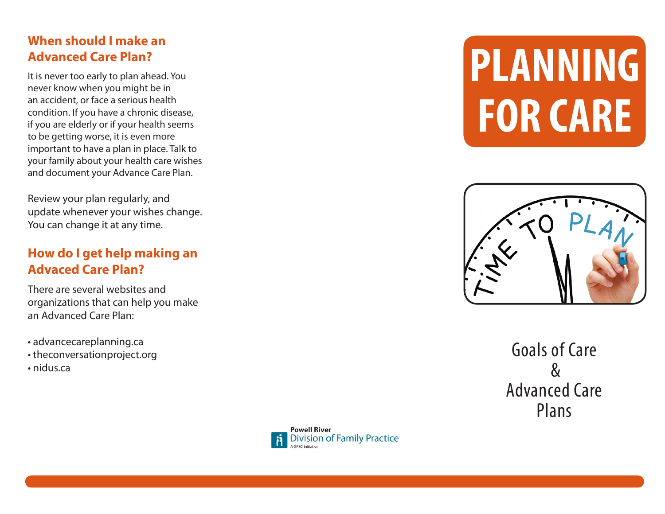# **When should I make an Advanced Care Plan?**

It is never too early to plan ahead. You never know when you might be in an accident, or face a serious health condition. If you have a chronic disease, if you are elderly or if your health seems to be getting worse, it is even more important to have a plan in place. Talk to your family about your health care wishes and document your Advance Care Plan.

Review your plan regularly, and update whenever your wishes change. You can change it at any time.

### **How do I get help making an Advaced Care Plan?**

There are several websites and organizations that can help you make an Advanced Care Plan:

- advancecareplanning.ca
- theconversationproject.org
- nidus ca





Goals of Care  $\mathcal{R}_{\mathcal{L}}$ Advanced Care Plans